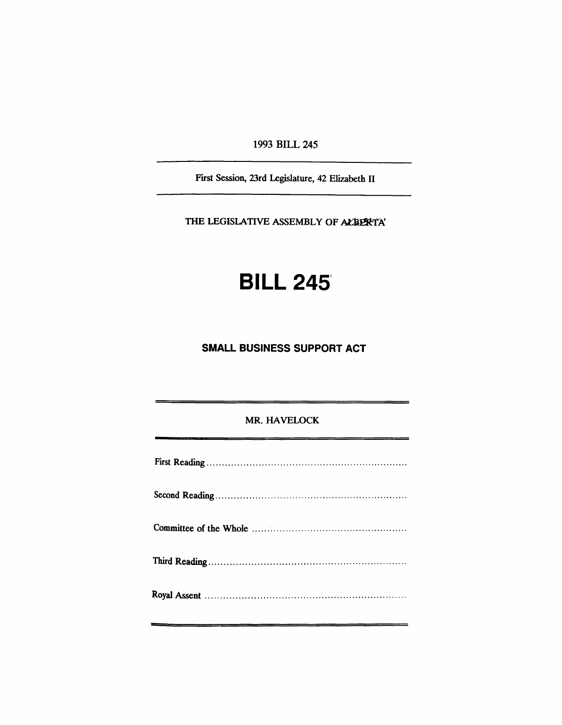1993 BILL 245

First Session, 23rd Legislature, 42 Elizabeth II

THE LEGISLATIVE ASSEMBLY OF ALBERTA'

# **BILL 2451**

## **SMALL BUSINESS SUPPORT ACT**

### MR. HAVELOCK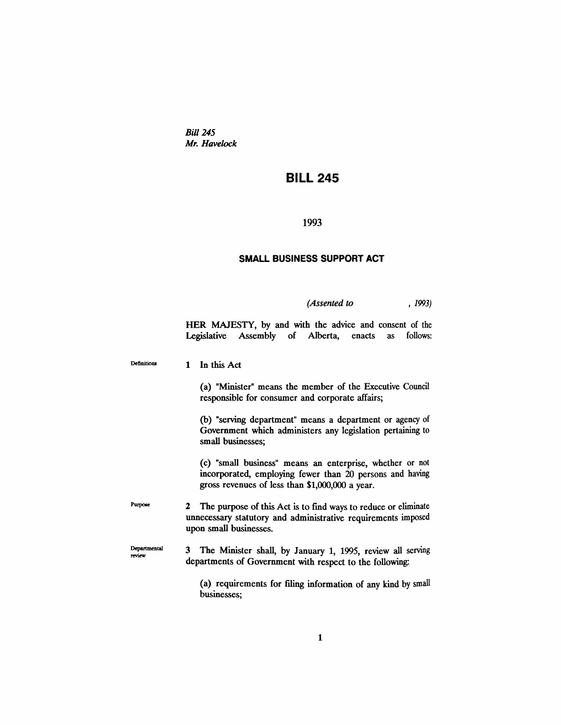*Bill* 245 *Mr. Havelock*

### **BILL 245**

#### 1993

#### **SMALL BUSINESS SUPPORT ACT**

*(Assented to* , 1993)

HER MAJESTY, by and with the advice and consent of the Legislative Assembly of Alberta, enacts as follows:

Definitions 1 In this Act

> (a) "Minister" means the member of the Executive Council responsible for consumer and corporate affairs;

> (b) "serving department" means a department or agency of Government which administers any legislation pertaining to small businesses;

> (c) "small business" means an enterprise, whether or not incorporated, employing fewer than 20 persons and having gross revenues of less than \$1,000,000 a year.

Purpose 2 The purpose of this Act is to fmd ways to reduce or eliminate unnecessary statutory and administrative requirements imposed upon small businesses.

Departmental review 3 The Minister shall, by January 1, 1995, review all serving departments of Government with respect to the following:

> (a) requirements for filing information of any kind by small businesses;